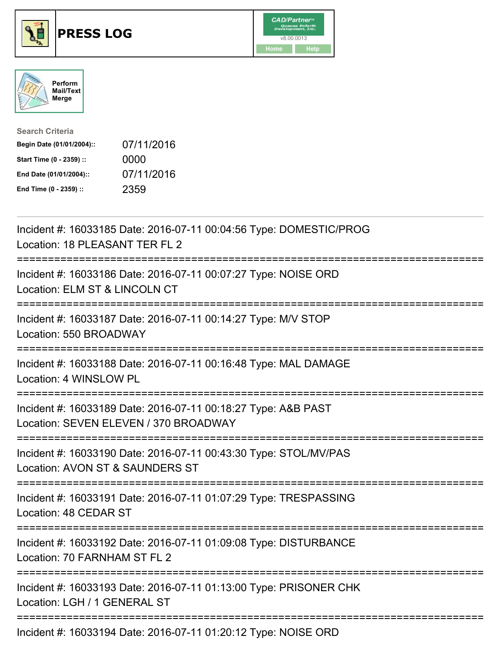





| <b>Search Criteria</b>    |            |
|---------------------------|------------|
| Begin Date (01/01/2004):: | 07/11/2016 |
| Start Time (0 - 2359) ::  | 0000       |
| End Date (01/01/2004)::   | 07/11/2016 |
| End Time (0 - 2359) ::    | 2359       |

| Incident #: 16033185 Date: 2016-07-11 00:04:56 Type: DOMESTIC/PROG<br>Location: 18 PLEASANT TER FL 2                                     |
|------------------------------------------------------------------------------------------------------------------------------------------|
| Incident #: 16033186 Date: 2016-07-11 00:07:27 Type: NOISE ORD<br>Location: ELM ST & LINCOLN CT                                          |
| Incident #: 16033187 Date: 2016-07-11 00:14:27 Type: M/V STOP<br>Location: 550 BROADWAY                                                  |
| Incident #: 16033188 Date: 2016-07-11 00:16:48 Type: MAL DAMAGE<br>Location: 4 WINSLOW PL                                                |
| Incident #: 16033189 Date: 2016-07-11 00:18:27 Type: A&B PAST<br>Location: SEVEN ELEVEN / 370 BROADWAY<br>============================== |
| Incident #: 16033190 Date: 2016-07-11 00:43:30 Type: STOL/MV/PAS<br>Location: AVON ST & SAUNDERS ST<br>;==========================       |
| Incident #: 16033191 Date: 2016-07-11 01:07:29 Type: TRESPASSING<br>Location: 48 CEDAR ST                                                |
| Incident #: 16033192 Date: 2016-07-11 01:09:08 Type: DISTURBANCE<br>Location: 70 FARNHAM ST FL 2                                         |
| Incident #: 16033193 Date: 2016-07-11 01:13:00 Type: PRISONER CHK<br>Location: LGH / 1 GENERAL ST                                        |
| Incident #: 16033194 Date: 2016-07-11 01:20:12 Type: NOISE ORD                                                                           |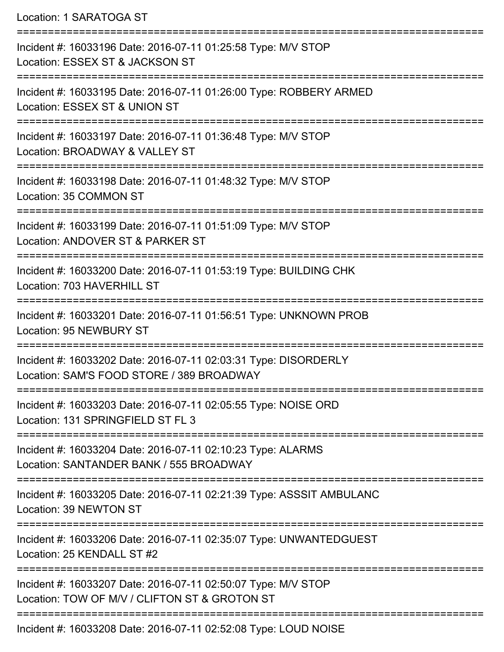Location: 1 SARATOGA ST

=========================================================================== Incident #: 16033196 Date: 2016-07-11 01:25:58 Type: M/V STOP Location: ESSEX ST & JACKSON ST =========================================================================== Incident #: 16033195 Date: 2016-07-11 01:26:00 Type: ROBBERY ARMED Location: ESSEX ST & UNION ST =========================================================================== Incident #: 16033197 Date: 2016-07-11 01:36:48 Type: M/V STOP Location: BROADWAY & VALLEY ST =========================================================================== Incident #: 16033198 Date: 2016-07-11 01:48:32 Type: M/V STOP Location: 35 COMMON ST =========================================================================== Incident #: 16033199 Date: 2016-07-11 01:51:09 Type: M/V STOP Location: ANDOVER ST & PARKER ST =========================================================================== Incident #: 16033200 Date: 2016-07-11 01:53:19 Type: BUILDING CHK Location: 703 HAVERHILL ST =========================================================================== Incident #: 16033201 Date: 2016-07-11 01:56:51 Type: UNKNOWN PROB Location: 95 NEWBURY ST =========================================================================== Incident #: 16033202 Date: 2016-07-11 02:03:31 Type: DISORDERLY Location: SAM'S FOOD STORE / 389 BROADWAY =========================================================================== Incident #: 16033203 Date: 2016-07-11 02:05:55 Type: NOISE ORD Location: 131 SPRINGFIFLD ST FL 3 =========================================================================== Incident #: 16033204 Date: 2016-07-11 02:10:23 Type: ALARMS Location: SANTANDER BANK / 555 BROADWAY =========================================================================== Incident #: 16033205 Date: 2016-07-11 02:21:39 Type: ASSSIT AMBULANC Location: 39 NEWTON ST =========================================================================== Incident #: 16033206 Date: 2016-07-11 02:35:07 Type: UNWANTEDGUEST Location: 25 KENDALL ST #2 =========================================================================== Incident #: 16033207 Date: 2016-07-11 02:50:07 Type: M/V STOP Location: TOW OF M/V / CLIFTON ST & GROTON ST =========================================================================== Incident #: 16033208 Date: 2016-07-11 02:52:08 Type: LOUD NOISE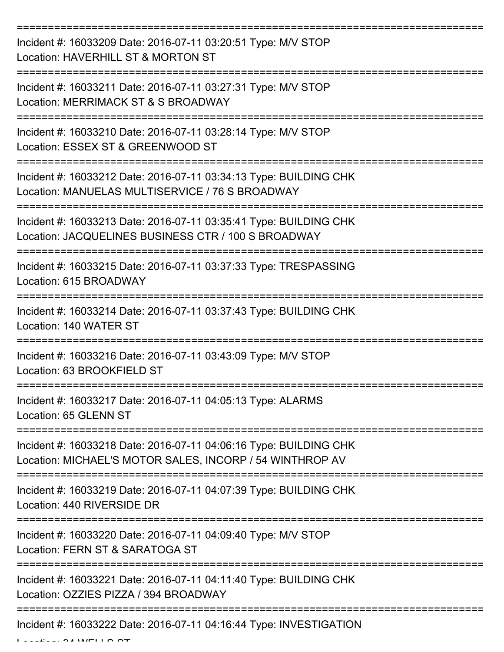| Incident #: 16033209 Date: 2016-07-11 03:20:51 Type: M/V STOP<br>Location: HAVERHILL ST & MORTON ST                                                              |
|------------------------------------------------------------------------------------------------------------------------------------------------------------------|
| Incident #: 16033211 Date: 2016-07-11 03:27:31 Type: M/V STOP<br>Location: MERRIMACK ST & S BROADWAY                                                             |
| Incident #: 16033210 Date: 2016-07-11 03:28:14 Type: M/V STOP<br>Location: ESSEX ST & GREENWOOD ST                                                               |
| Incident #: 16033212 Date: 2016-07-11 03:34:13 Type: BUILDING CHK<br>Location: MANUELAS MULTISERVICE / 76 S BROADWAY                                             |
| Incident #: 16033213 Date: 2016-07-11 03:35:41 Type: BUILDING CHK<br>Location: JACQUELINES BUSINESS CTR / 100 S BROADWAY<br>____________________________________ |
| Incident #: 16033215 Date: 2016-07-11 03:37:33 Type: TRESPASSING<br>Location: 615 BROADWAY                                                                       |
| Incident #: 16033214 Date: 2016-07-11 03:37:43 Type: BUILDING CHK<br>Location: 140 WATER ST                                                                      |
| Incident #: 16033216 Date: 2016-07-11 03:43:09 Type: M/V STOP<br>Location: 63 BROOKFIELD ST                                                                      |
| Incident #: 16033217 Date: 2016-07-11 04:05:13 Type: ALARMS<br>Location: 65 GLENN ST                                                                             |
| Incident #: 16033218 Date: 2016-07-11 04:06:16 Type: BUILDING CHK<br>Location: MICHAEL'S MOTOR SALES, INCORP / 54 WINTHROP AV                                    |
| Incident #: 16033219 Date: 2016-07-11 04:07:39 Type: BUILDING CHK<br>Location: 440 RIVERSIDE DR                                                                  |
| Incident #: 16033220 Date: 2016-07-11 04:09:40 Type: M/V STOP<br>Location: FERN ST & SARATOGA ST                                                                 |
| Incident #: 16033221 Date: 2016-07-11 04:11:40 Type: BUILDING CHK<br>Location: OZZIES PIZZA / 394 BROADWAY                                                       |
| Incident #: 16033222 Date: 2016-07-11 04:16:44 Type: INVESTIGATION                                                                                               |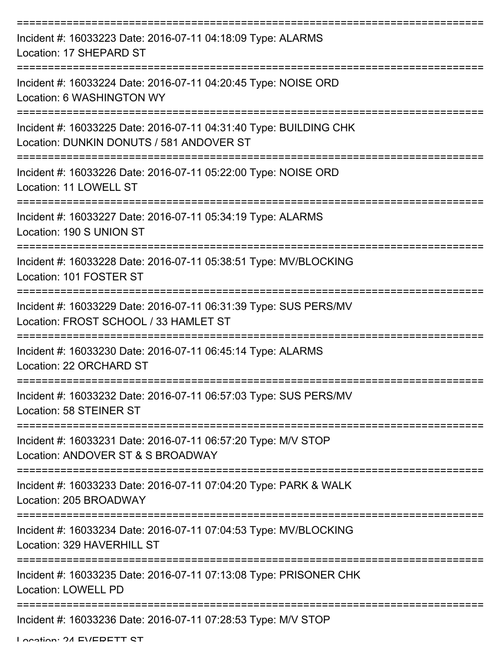| Incident #: 16033223 Date: 2016-07-11 04:18:09 Type: ALARMS<br>Location: 17 SHEPARD ST                        |
|---------------------------------------------------------------------------------------------------------------|
| Incident #: 16033224 Date: 2016-07-11 04:20:45 Type: NOISE ORD<br>Location: 6 WASHINGTON WY                   |
| Incident #: 16033225 Date: 2016-07-11 04:31:40 Type: BUILDING CHK<br>Location: DUNKIN DONUTS / 581 ANDOVER ST |
| Incident #: 16033226 Date: 2016-07-11 05:22:00 Type: NOISE ORD<br>Location: 11 LOWELL ST                      |
| Incident #: 16033227 Date: 2016-07-11 05:34:19 Type: ALARMS<br>Location: 190 S UNION ST                       |
| Incident #: 16033228 Date: 2016-07-11 05:38:51 Type: MV/BLOCKING<br>Location: 101 FOSTER ST                   |
| Incident #: 16033229 Date: 2016-07-11 06:31:39 Type: SUS PERS/MV<br>Location: FROST SCHOOL / 33 HAMLET ST     |
| Incident #: 16033230 Date: 2016-07-11 06:45:14 Type: ALARMS<br>Location: 22 ORCHARD ST                        |
| Incident #: 16033232 Date: 2016-07-11 06:57:03 Type: SUS PERS/MV<br>Location: 58 STEINER ST                   |
| Incident #: 16033231 Date: 2016-07-11 06:57:20 Type: M/V STOP<br>Location: ANDOVER ST & S BROADWAY            |
| Incident #: 16033233 Date: 2016-07-11 07:04:20 Type: PARK & WALK<br>Location: 205 BROADWAY                    |
| Incident #: 16033234 Date: 2016-07-11 07:04:53 Type: MV/BLOCKING<br>Location: 329 HAVERHILL ST                |
| Incident #: 16033235 Date: 2016-07-11 07:13:08 Type: PRISONER CHK<br><b>Location: LOWELL PD</b>               |
| Incident #: 16033236 Date: 2016-07-11 07:28:53 Type: M/V STOP                                                 |

Location: 24 EVEDETT CT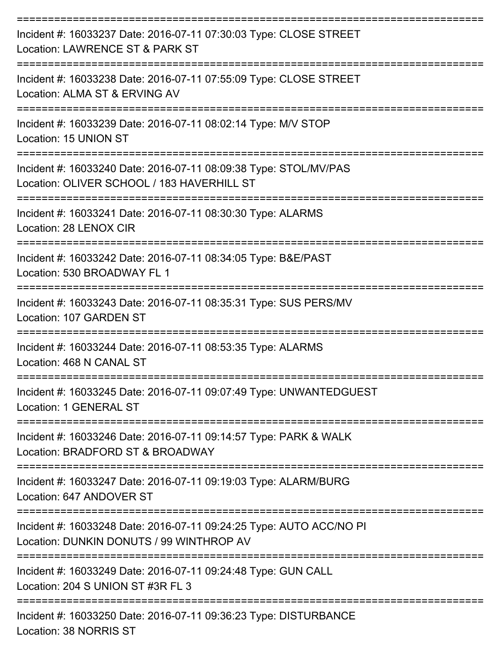| Incident #: 16033237 Date: 2016-07-11 07:30:03 Type: CLOSE STREET<br>Location: LAWRENCE ST & PARK ST            |
|-----------------------------------------------------------------------------------------------------------------|
| Incident #: 16033238 Date: 2016-07-11 07:55:09 Type: CLOSE STREET<br>Location: ALMA ST & ERVING AV              |
| Incident #: 16033239 Date: 2016-07-11 08:02:14 Type: M/V STOP<br>Location: 15 UNION ST                          |
| Incident #: 16033240 Date: 2016-07-11 08:09:38 Type: STOL/MV/PAS<br>Location: OLIVER SCHOOL / 183 HAVERHILL ST  |
| Incident #: 16033241 Date: 2016-07-11 08:30:30 Type: ALARMS<br>Location: 28 LENOX CIR                           |
| Incident #: 16033242 Date: 2016-07-11 08:34:05 Type: B&E/PAST<br>Location: 530 BROADWAY FL 1                    |
| Incident #: 16033243 Date: 2016-07-11 08:35:31 Type: SUS PERS/MV<br>Location: 107 GARDEN ST                     |
| Incident #: 16033244 Date: 2016-07-11 08:53:35 Type: ALARMS<br>Location: 468 N CANAL ST                         |
| Incident #: 16033245 Date: 2016-07-11 09:07:49 Type: UNWANTEDGUEST<br><b>Location: 1 GENERAL ST</b>             |
| Incident #: 16033246 Date: 2016-07-11 09:14:57 Type: PARK & WALK<br>Location: BRADFORD ST & BROADWAY            |
| Incident #: 16033247 Date: 2016-07-11 09:19:03 Type: ALARM/BURG<br>Location: 647 ANDOVER ST                     |
| Incident #: 16033248 Date: 2016-07-11 09:24:25 Type: AUTO ACC/NO PI<br>Location: DUNKIN DONUTS / 99 WINTHROP AV |
| Incident #: 16033249 Date: 2016-07-11 09:24:48 Type: GUN CALL<br>Location: 204 S UNION ST #3R FL 3              |
| Incident #: 16033250 Date: 2016-07-11 09:36:23 Type: DISTURBANCE<br>Location: 38 NORRIS ST                      |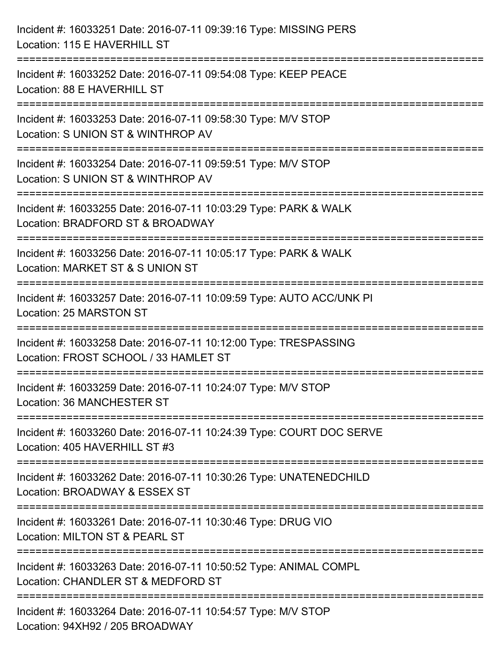| Incident #: 16033251 Date: 2016-07-11 09:39:16 Type: MISSING PERS<br>Location: 115 E HAVERHILL ST                                     |
|---------------------------------------------------------------------------------------------------------------------------------------|
| =========================<br>Incident #: 16033252 Date: 2016-07-11 09:54:08 Type: KEEP PEACE<br>Location: 88 E HAVERHILL ST           |
| Incident #: 16033253 Date: 2016-07-11 09:58:30 Type: M/V STOP<br>Location: S UNION ST & WINTHROP AV                                   |
| ==============================<br>Incident #: 16033254 Date: 2016-07-11 09:59:51 Type: M/V STOP<br>Location: S UNION ST & WINTHROP AV |
| Incident #: 16033255 Date: 2016-07-11 10:03:29 Type: PARK & WALK<br>Location: BRADFORD ST & BROADWAY                                  |
| Incident #: 16033256 Date: 2016-07-11 10:05:17 Type: PARK & WALK<br>Location: MARKET ST & S UNION ST                                  |
| Incident #: 16033257 Date: 2016-07-11 10:09:59 Type: AUTO ACC/UNK PI<br>Location: 25 MARSTON ST                                       |
| Incident #: 16033258 Date: 2016-07-11 10:12:00 Type: TRESPASSING<br>Location: FROST SCHOOL / 33 HAMLET ST                             |
| Incident #: 16033259 Date: 2016-07-11 10:24:07 Type: M/V STOP<br>Location: 36 MANCHESTER ST                                           |
| Incident #: 16033260 Date: 2016-07-11 10:24:39 Type: COURT DOC SERVE<br>Location: 405 HAVERHILL ST #3                                 |
| Incident #: 16033262 Date: 2016-07-11 10:30:26 Type: UNATENEDCHILD<br>Location: BROADWAY & ESSEX ST                                   |
| Incident #: 16033261 Date: 2016-07-11 10:30:46 Type: DRUG VIO<br>Location: MILTON ST & PEARL ST                                       |
| Incident #: 16033263 Date: 2016-07-11 10:50:52 Type: ANIMAL COMPL<br>Location: CHANDLER ST & MEDFORD ST                               |
| Incident #: 16033264 Date: 2016-07-11 10:54:57 Type: M/V STOP<br>Location: 94XH92 / 205 BROADWAY                                      |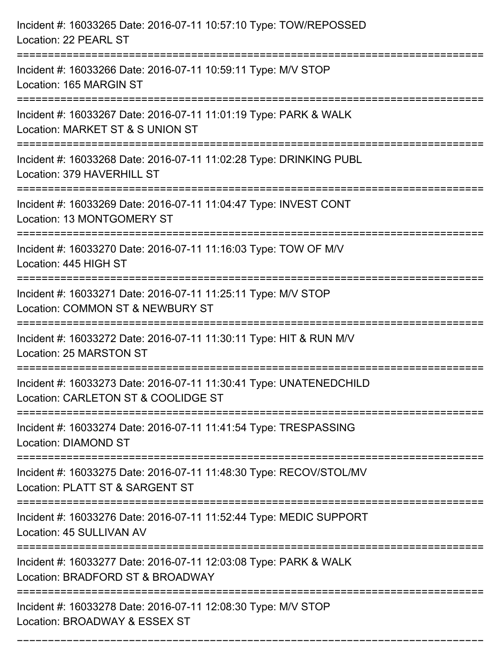| Incident #: 16033265 Date: 2016-07-11 10:57:10 Type: TOW/REPOSSED<br>Location: 22 PEARL ST                      |
|-----------------------------------------------------------------------------------------------------------------|
| Incident #: 16033266 Date: 2016-07-11 10:59:11 Type: M/V STOP<br>Location: 165 MARGIN ST                        |
| Incident #: 16033267 Date: 2016-07-11 11:01:19 Type: PARK & WALK<br>Location: MARKET ST & S UNION ST            |
| Incident #: 16033268 Date: 2016-07-11 11:02:28 Type: DRINKING PUBL<br>Location: 379 HAVERHILL ST                |
| Incident #: 16033269 Date: 2016-07-11 11:04:47 Type: INVEST CONT<br>Location: 13 MONTGOMERY ST<br>------------- |
| Incident #: 16033270 Date: 2016-07-11 11:16:03 Type: TOW OF M/V<br>Location: 445 HIGH ST                        |
| Incident #: 16033271 Date: 2016-07-11 11:25:11 Type: M/V STOP<br>Location: COMMON ST & NEWBURY ST               |
| Incident #: 16033272 Date: 2016-07-11 11:30:11 Type: HIT & RUN M/V<br>Location: 25 MARSTON ST                   |
| Incident #: 16033273 Date: 2016-07-11 11:30:41 Type: UNATENEDCHILD<br>Location: CARLETON ST & COOLIDGE ST       |
| Incident #: 16033274 Date: 2016-07-11 11:41:54 Type: TRESPASSING<br>Location: DIAMOND ST                        |
| Incident #: 16033275 Date: 2016-07-11 11:48:30 Type: RECOV/STOL/MV<br>Location: PLATT ST & SARGENT ST           |
| Incident #: 16033276 Date: 2016-07-11 11:52:44 Type: MEDIC SUPPORT<br>Location: 45 SULLIVAN AV                  |
| Incident #: 16033277 Date: 2016-07-11 12:03:08 Type: PARK & WALK<br>Location: BRADFORD ST & BROADWAY            |
| Incident #: 16033278 Date: 2016-07-11 12:08:30 Type: M/V STOP<br>Location: BROADWAY & ESSEX ST                  |

===========================================================================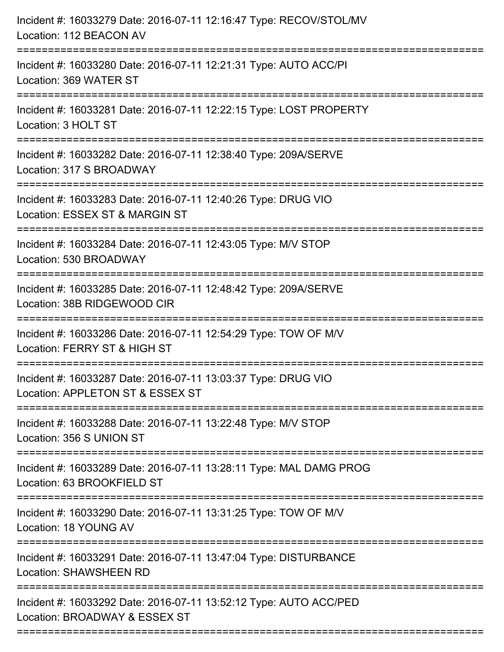| Incident #: 16033279 Date: 2016-07-11 12:16:47 Type: RECOV/STOL/MV<br>Location: 112 BEACON AV                       |
|---------------------------------------------------------------------------------------------------------------------|
| Incident #: 16033280 Date: 2016-07-11 12:21:31 Type: AUTO ACC/PI<br>Location: 369 WATER ST                          |
| Incident #: 16033281 Date: 2016-07-11 12:22:15 Type: LOST PROPERTY<br>Location: 3 HOLT ST                           |
| Incident #: 16033282 Date: 2016-07-11 12:38:40 Type: 209A/SERVE<br>Location: 317 S BROADWAY                         |
| Incident #: 16033283 Date: 2016-07-11 12:40:26 Type: DRUG VIO<br>Location: ESSEX ST & MARGIN ST                     |
| Incident #: 16033284 Date: 2016-07-11 12:43:05 Type: M/V STOP<br>Location: 530 BROADWAY                             |
| Incident #: 16033285 Date: 2016-07-11 12:48:42 Type: 209A/SERVE<br>Location: 38B RIDGEWOOD CIR<br>================= |
| Incident #: 16033286 Date: 2016-07-11 12:54:29 Type: TOW OF M/V<br>Location: FERRY ST & HIGH ST                     |
| Incident #: 16033287 Date: 2016-07-11 13:03:37 Type: DRUG VIO<br>Location: APPLETON ST & ESSEX ST                   |
| Incident #: 16033288 Date: 2016-07-11 13:22:48 Type: M/V STOP<br>Location: 356 S UNION ST                           |
| Incident #: 16033289 Date: 2016-07-11 13:28:11 Type: MAL DAMG PROG<br>Location: 63 BROOKFIELD ST                    |
| Incident #: 16033290 Date: 2016-07-11 13:31:25 Type: TOW OF M/V<br>Location: 18 YOUNG AV                            |
| Incident #: 16033291 Date: 2016-07-11 13:47:04 Type: DISTURBANCE<br><b>Location: SHAWSHEEN RD</b>                   |
| Incident #: 16033292 Date: 2016-07-11 13:52:12 Type: AUTO ACC/PED<br>Location: BROADWAY & ESSEX ST                  |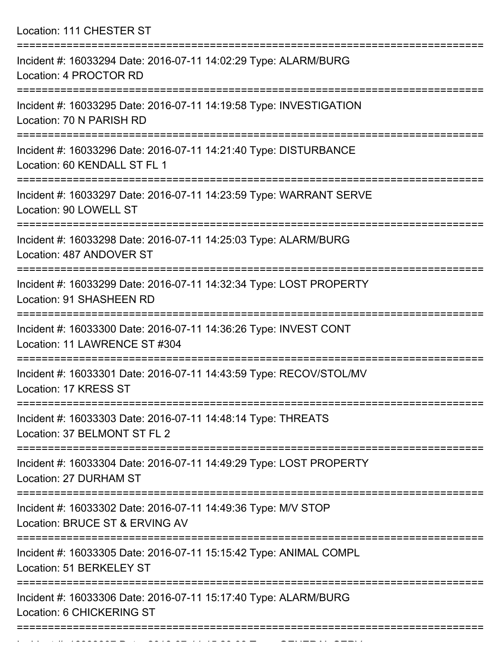Location: 111 CHESTER ST

| Incident #: 16033294 Date: 2016-07-11 14:02:29 Type: ALARM/BURG<br>Location: 4 PROCTOR RD                           |
|---------------------------------------------------------------------------------------------------------------------|
| Incident #: 16033295 Date: 2016-07-11 14:19:58 Type: INVESTIGATION<br>Location: 70 N PARISH RD                      |
| Incident #: 16033296 Date: 2016-07-11 14:21:40 Type: DISTURBANCE<br>Location: 60 KENDALL ST FL 1                    |
| Incident #: 16033297 Date: 2016-07-11 14:23:59 Type: WARRANT SERVE<br>Location: 90 LOWELL ST<br>=================== |
| Incident #: 16033298 Date: 2016-07-11 14:25:03 Type: ALARM/BURG<br>Location: 487 ANDOVER ST                         |
| Incident #: 16033299 Date: 2016-07-11 14:32:34 Type: LOST PROPERTY<br>Location: 91 SHASHEEN RD                      |
| Incident #: 16033300 Date: 2016-07-11 14:36:26 Type: INVEST CONT<br>Location: 11 LAWRENCE ST #304                   |
| Incident #: 16033301 Date: 2016-07-11 14:43:59 Type: RECOV/STOL/MV<br>Location: 17 KRESS ST                         |
| Incident #: 16033303 Date: 2016-07-11 14:48:14 Type: THREATS<br>Location: 37 BELMONT ST FL 2                        |
| Incident #: 16033304 Date: 2016-07-11 14:49:29 Type: LOST PROPERTY<br>Location: 27 DURHAM ST                        |
| Incident #: 16033302 Date: 2016-07-11 14:49:36 Type: M/V STOP<br>Location: BRUCE ST & ERVING AV                     |
| Incident #: 16033305 Date: 2016-07-11 15:15:42 Type: ANIMAL COMPL<br>Location: 51 BERKELEY ST                       |
| Incident #: 16033306 Date: 2016-07-11 15:17:40 Type: ALARM/BURG<br>Location: 6 CHICKERING ST                        |
|                                                                                                                     |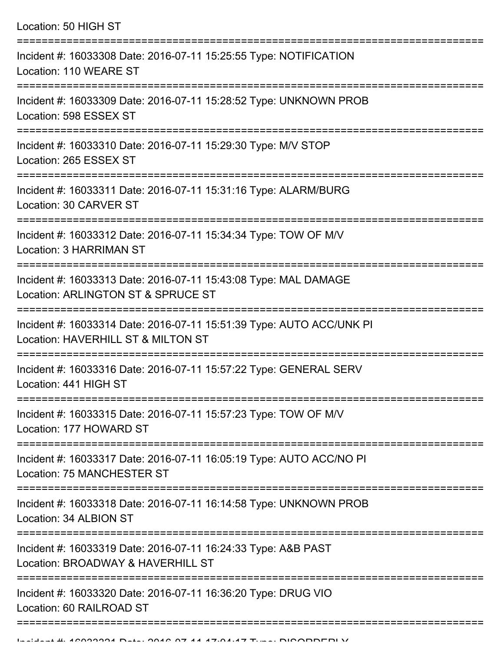| Location: 50 HIGH ST                                                                                                                        |
|---------------------------------------------------------------------------------------------------------------------------------------------|
| Incident #: 16033308 Date: 2016-07-11 15:25:55 Type: NOTIFICATION<br>Location: 110 WEARE ST                                                 |
| Incident #: 16033309 Date: 2016-07-11 15:28:52 Type: UNKNOWN PROB<br>Location: 598 ESSEX ST                                                 |
| Incident #: 16033310 Date: 2016-07-11 15:29:30 Type: M/V STOP<br>Location: 265 ESSEX ST<br>:===================================             |
| Incident #: 16033311 Date: 2016-07-11 15:31:16 Type: ALARM/BURG<br>Location: 30 CARVER ST                                                   |
| Incident #: 16033312 Date: 2016-07-11 15:34:34 Type: TOW OF M/V<br><b>Location: 3 HARRIMAN ST</b>                                           |
| :=================================<br>Incident #: 16033313 Date: 2016-07-11 15:43:08 Type: MAL DAMAGE<br>Location: ARLINGTON ST & SPRUCE ST |
| Incident #: 16033314 Date: 2016-07-11 15:51:39 Type: AUTO ACC/UNK PI<br>Location: HAVERHILL ST & MILTON ST                                  |
| Incident #: 16033316 Date: 2016-07-11 15:57:22 Type: GENERAL SERV<br>Location: 441 HIGH ST                                                  |
| Incident #: 16033315 Date: 2016-07-11 15:57:23 Type: TOW OF M/V<br>Location: 177 HOWARD ST                                                  |
| Incident #: 16033317 Date: 2016-07-11 16:05:19 Type: AUTO ACC/NO PI<br>Location: 75 MANCHESTER ST                                           |
| Incident #: 16033318 Date: 2016-07-11 16:14:58 Type: UNKNOWN PROB<br>Location: 34 ALBION ST                                                 |
| Incident #: 16033319 Date: 2016-07-11 16:24:33 Type: A&B PAST<br>Location: BROADWAY & HAVERHILL ST                                          |
| Incident #: 16033320 Date: 2016-07-11 16:36:20 Type: DRUG VIO<br>Location: 60 RAILROAD ST                                                   |
|                                                                                                                                             |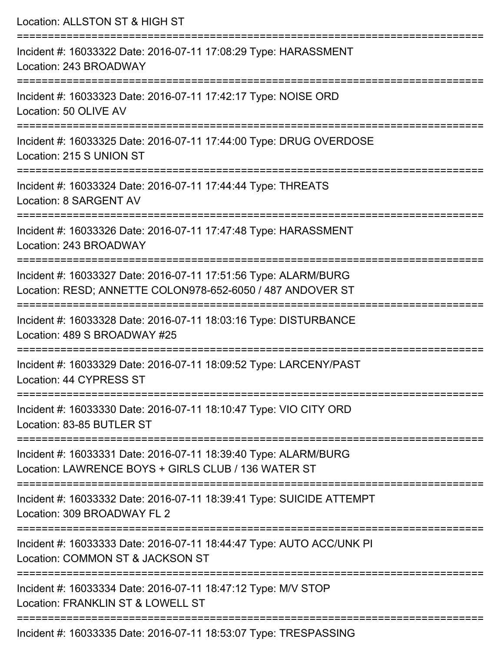| Location: ALLSTON ST & HIGH ST                                                                                                |
|-------------------------------------------------------------------------------------------------------------------------------|
| Incident #: 16033322 Date: 2016-07-11 17:08:29 Type: HARASSMENT<br>Location: 243 BROADWAY                                     |
| Incident #: 16033323 Date: 2016-07-11 17:42:17 Type: NOISE ORD<br>Location: 50 OLIVE AV                                       |
| :======================<br>Incident #: 16033325 Date: 2016-07-11 17:44:00 Type: DRUG OVERDOSE<br>Location: 215 S UNION ST     |
| :==============================<br>Incident #: 16033324 Date: 2016-07-11 17:44:44 Type: THREATS<br>Location: 8 SARGENT AV     |
| Incident #: 16033326 Date: 2016-07-11 17:47:48 Type: HARASSMENT<br>Location: 243 BROADWAY                                     |
| Incident #: 16033327 Date: 2016-07-11 17:51:56 Type: ALARM/BURG<br>Location: RESD; ANNETTE COLON978-652-6050 / 487 ANDOVER ST |
| Incident #: 16033328 Date: 2016-07-11 18:03:16 Type: DISTURBANCE<br>Location: 489 S BROADWAY #25                              |
| Incident #: 16033329 Date: 2016-07-11 18:09:52 Type: LARCENY/PAST<br>Location: 44 CYPRESS ST                                  |
| Incident #: 16033330 Date: 2016-07-11 18:10:47 Type: VIO CITY ORD<br>Location: 83-85 BUTLER ST                                |
| Incident #: 16033331 Date: 2016-07-11 18:39:40 Type: ALARM/BURG<br>Location: LAWRENCE BOYS + GIRLS CLUB / 136 WATER ST        |
| Incident #: 16033332 Date: 2016-07-11 18:39:41 Type: SUICIDE ATTEMPT<br>Location: 309 BROADWAY FL 2                           |
| Incident #: 16033333 Date: 2016-07-11 18:44:47 Type: AUTO ACC/UNK PI<br>Location: COMMON ST & JACKSON ST                      |
| Incident #: 16033334 Date: 2016-07-11 18:47:12 Type: M/V STOP<br>Location: FRANKLIN ST & LOWELL ST                            |
| Incident #: 16033335 Date: 2016-07-11 18:53:07 Type: TRESPASSING                                                              |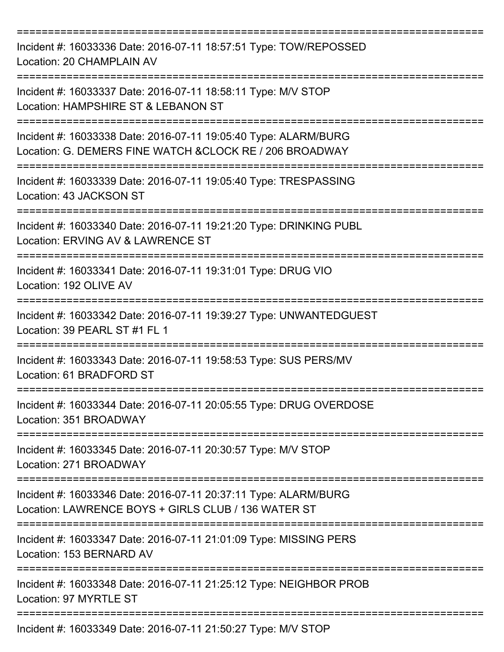| Incident #: 16033336 Date: 2016-07-11 18:57:51 Type: TOW/REPOSSED<br>Location: 20 CHAMPLAIN AV                                       |
|--------------------------------------------------------------------------------------------------------------------------------------|
| Incident #: 16033337 Date: 2016-07-11 18:58:11 Type: M/V STOP<br>Location: HAMPSHIRE ST & LEBANON ST                                 |
| Incident #: 16033338 Date: 2016-07-11 19:05:40 Type: ALARM/BURG<br>Location: G. DEMERS FINE WATCH & CLOCK RE / 206 BROADWAY          |
| Incident #: 16033339 Date: 2016-07-11 19:05:40 Type: TRESPASSING<br>Location: 43 JACKSON ST                                          |
| Incident #: 16033340 Date: 2016-07-11 19:21:20 Type: DRINKING PUBL<br>Location: ERVING AV & LAWRENCE ST                              |
| Incident #: 16033341 Date: 2016-07-11 19:31:01 Type: DRUG VIO<br>Location: 192 OLIVE AV                                              |
| Incident #: 16033342 Date: 2016-07-11 19:39:27 Type: UNWANTEDGUEST<br>Location: 39 PEARL ST #1 FL 1                                  |
| Incident #: 16033343 Date: 2016-07-11 19:58:53 Type: SUS PERS/MV<br>Location: 61 BRADFORD ST<br>:=================================== |
| Incident #: 16033344 Date: 2016-07-11 20:05:55 Type: DRUG OVERDOSE<br>Location: 351 BROADWAY                                         |
| Incident #: 16033345 Date: 2016-07-11 20:30:57 Type: M/V STOP<br>Location: 271 BROADWAY                                              |
| Incident #: 16033346 Date: 2016-07-11 20:37:11 Type: ALARM/BURG<br>Location: LAWRENCE BOYS + GIRLS CLUB / 136 WATER ST               |
| Incident #: 16033347 Date: 2016-07-11 21:01:09 Type: MISSING PERS<br>Location: 153 BERNARD AV                                        |
| Incident #: 16033348 Date: 2016-07-11 21:25:12 Type: NEIGHBOR PROB<br>Location: 97 MYRTLE ST                                         |
| Incident #: 16033349 Date: 2016-07-11 21:50:27 Type: M/V STOP                                                                        |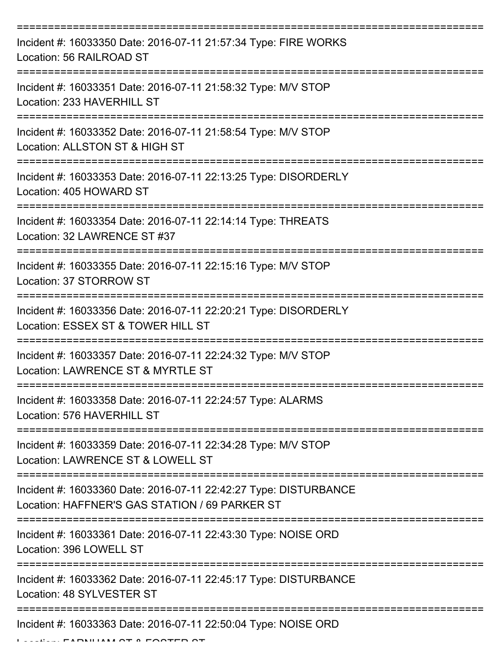| Incident #: 16033350 Date: 2016-07-11 21:57:34 Type: FIRE WORKS<br>Location: 56 RAILROAD ST                        |
|--------------------------------------------------------------------------------------------------------------------|
| Incident #: 16033351 Date: 2016-07-11 21:58:32 Type: M/V STOP<br>Location: 233 HAVERHILL ST                        |
| Incident #: 16033352 Date: 2016-07-11 21:58:54 Type: M/V STOP<br>Location: ALLSTON ST & HIGH ST                    |
| Incident #: 16033353 Date: 2016-07-11 22:13:25 Type: DISORDERLY<br>Location: 405 HOWARD ST                         |
| Incident #: 16033354 Date: 2016-07-11 22:14:14 Type: THREATS<br>Location: 32 LAWRENCE ST #37                       |
| Incident #: 16033355 Date: 2016-07-11 22:15:16 Type: M/V STOP<br>Location: 37 STORROW ST                           |
| Incident #: 16033356 Date: 2016-07-11 22:20:21 Type: DISORDERLY<br>Location: ESSEX ST & TOWER HILL ST              |
| Incident #: 16033357 Date: 2016-07-11 22:24:32 Type: M/V STOP<br>Location: LAWRENCE ST & MYRTLE ST                 |
| Incident #: 16033358 Date: 2016-07-11 22:24:57 Type: ALARMS<br>Location: 576 HAVERHILL ST                          |
| Incident #: 16033359 Date: 2016-07-11 22:34:28 Type: M/V STOP<br>Location: LAWRENCE ST & LOWELL ST                 |
| Incident #: 16033360 Date: 2016-07-11 22:42:27 Type: DISTURBANCE<br>Location: HAFFNER'S GAS STATION / 69 PARKER ST |
| Incident #: 16033361 Date: 2016-07-11 22:43:30 Type: NOISE ORD<br>Location: 396 LOWELL ST                          |
| Incident #: 16033362 Date: 2016-07-11 22:45:17 Type: DISTURBANCE<br>Location: 48 SYLVESTER ST                      |
| Incident #: 16033363 Date: 2016-07-11 22:50:04 Type: NOISE ORD                                                     |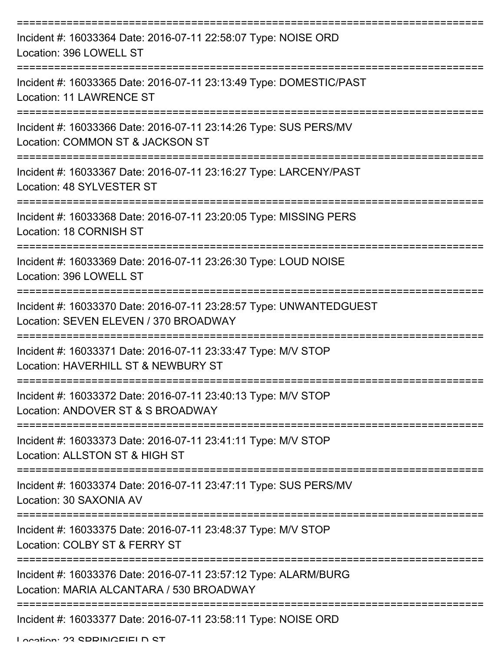| Incident #: 16033364 Date: 2016-07-11 22:58:07 Type: NOISE ORD<br>Location: 396 LOWELL ST                                  |
|----------------------------------------------------------------------------------------------------------------------------|
| Incident #: 16033365 Date: 2016-07-11 23:13:49 Type: DOMESTIC/PAST<br>Location: 11 LAWRENCE ST                             |
| Incident #: 16033366 Date: 2016-07-11 23:14:26 Type: SUS PERS/MV<br>Location: COMMON ST & JACKSON ST                       |
| Incident #: 16033367 Date: 2016-07-11 23:16:27 Type: LARCENY/PAST<br>Location: 48 SYLVESTER ST                             |
| Incident #: 16033368 Date: 2016-07-11 23:20:05 Type: MISSING PERS<br>Location: 18 CORNISH ST                               |
| Incident #: 16033369 Date: 2016-07-11 23:26:30 Type: LOUD NOISE<br>Location: 396 LOWELL ST                                 |
| Incident #: 16033370 Date: 2016-07-11 23:28:57 Type: UNWANTEDGUEST<br>Location: SEVEN ELEVEN / 370 BROADWAY                |
| Incident #: 16033371 Date: 2016-07-11 23:33:47 Type: M/V STOP<br>Location: HAVERHILL ST & NEWBURY ST                       |
| --------------------<br>Incident #: 16033372 Date: 2016-07-11 23:40:13 Type: M/V STOP<br>Location: ANDOVER ST & S BROADWAY |
| Incident #: 16033373 Date: 2016-07-11 23:41:11 Type: M/V STOP<br>Location: ALLSTON ST & HIGH ST                            |
| Incident #: 16033374 Date: 2016-07-11 23:47:11 Type: SUS PERS/MV<br>Location: 30 SAXONIA AV                                |
| Incident #: 16033375 Date: 2016-07-11 23:48:37 Type: M/V STOP<br>Location: COLBY ST & FERRY ST                             |
| Incident #: 16033376 Date: 2016-07-11 23:57:12 Type: ALARM/BURG<br>Location: MARIA ALCANTARA / 530 BROADWAY                |
| Incident #: 16033377 Date: 2016-07-11 23:58:11 Type: NOISE ORD                                                             |

Location: 23 SPRINGFIELD ST